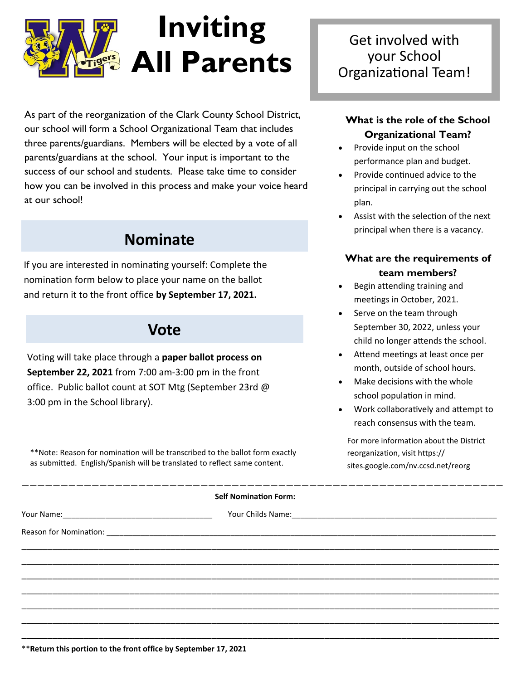

As part of the reorganization of the Clark County School District, our school will form a School Organizational Team that includes three parents/guardians. Members will be elected by a vote of all parents/guardians at the school. Your input is important to the success of our school and students. Please take time to consider how you can be involved in this process and make your voice heard at our school!

# **Nominate**

If you are interested in nominating yourself: Complete the nomination form below to place your name on the ballot and return it to the front office **by September 17, 2021.**

## **Vote**

Voting will take place through a **paper ballot process on September 22, 2021** from 7:00 am-3:00 pm in the front office. Public ballot count at SOT Mtg (September 23rd @ 3:00 pm in the School library).

\*\*Note: Reason for nomination will be transcribed to the ballot form exactly as submitted. English/Spanish will be translated to reflect same content.

#### **Self Nomination Form:**

Reason for Nomination: \_\_\_\_\_\_\_\_\_\_\_\_\_\_\_\_\_\_\_\_\_\_\_\_\_\_\_\_\_\_\_\_\_\_\_\_\_\_\_\_\_\_\_\_\_\_\_\_\_\_\_\_\_\_\_\_\_\_\_\_\_\_\_\_\_\_\_\_\_\_\_\_\_\_\_\_\_\_\_\_\_\_\_\_\_\_\_\_\_\_\_

Your Name: The Communication of the Childs Name:  $\alpha$  and  $\alpha$  and  $\alpha$  and  $\alpha$  and  $\alpha$ 

——————————————————————————————————————————————————————————————

\_\_\_\_\_\_\_\_\_\_\_\_\_\_\_\_\_\_\_\_\_\_\_\_\_\_\_\_\_\_\_\_\_\_\_\_\_\_\_\_\_\_\_\_\_\_\_\_\_\_\_\_\_\_\_\_\_\_\_\_\_\_\_\_\_\_\_\_\_\_\_\_\_\_\_\_\_\_\_\_\_\_\_\_\_\_\_\_\_\_\_\_\_ \_\_\_\_\_\_\_\_\_\_\_\_\_\_\_\_\_\_\_\_\_\_\_\_\_\_\_\_\_\_\_\_\_\_\_\_\_\_\_\_\_\_\_\_\_\_\_\_\_\_\_\_\_\_\_\_\_\_\_\_\_\_\_\_\_\_\_\_\_\_\_\_\_\_\_\_\_\_\_\_\_\_\_\_\_\_\_\_\_\_\_\_\_ \_\_\_\_\_\_\_\_\_\_\_\_\_\_\_\_\_\_\_\_\_\_\_\_\_\_\_\_\_\_\_\_\_\_\_\_\_\_\_\_\_\_\_\_\_\_\_\_\_\_\_\_\_\_\_\_\_\_\_\_\_\_\_\_\_\_\_\_\_\_\_\_\_\_\_\_\_\_\_\_\_\_\_\_\_\_\_\_\_\_\_\_\_ \_\_\_\_\_\_\_\_\_\_\_\_\_\_\_\_\_\_\_\_\_\_\_\_\_\_\_\_\_\_\_\_\_\_\_\_\_\_\_\_\_\_\_\_\_\_\_\_\_\_\_\_\_\_\_\_\_\_\_\_\_\_\_\_\_\_\_\_\_\_\_\_\_\_\_\_\_\_\_\_\_\_\_\_\_\_\_\_\_\_\_\_\_ \_\_\_\_\_\_\_\_\_\_\_\_\_\_\_\_\_\_\_\_\_\_\_\_\_\_\_\_\_\_\_\_\_\_\_\_\_\_\_\_\_\_\_\_\_\_\_\_\_\_\_\_\_\_\_\_\_\_\_\_\_\_\_\_\_\_\_\_\_\_\_\_\_\_\_\_\_\_\_\_\_\_\_\_\_\_\_\_\_\_\_\_\_ \_\_\_\_\_\_\_\_\_\_\_\_\_\_\_\_\_\_\_\_\_\_\_\_\_\_\_\_\_\_\_\_\_\_\_\_\_\_\_\_\_\_\_\_\_\_\_\_\_\_\_\_\_\_\_\_\_\_\_\_\_\_\_\_\_\_\_\_\_\_\_\_\_\_\_\_\_\_\_\_\_\_\_\_\_\_\_\_\_\_\_\_\_ \_\_\_\_\_\_\_\_\_\_\_\_\_\_\_\_\_\_\_\_\_\_\_\_\_\_\_\_\_\_\_\_\_\_\_\_\_\_\_\_\_\_\_\_\_\_\_\_\_\_\_\_\_\_\_\_\_\_\_\_\_\_\_\_\_\_\_\_\_\_\_\_\_\_\_\_\_\_\_\_\_\_\_\_\_\_\_\_\_\_\_\_\_

Get involved with your School Organizational Team!

### **What is the role of the School Organizational Team?**

- Provide input on the school performance plan and budget.
- Provide continued advice to the principal in carrying out the school plan.
- Assist with the selection of the next principal when there is a vacancy.

#### **What are the requirements of team members?**

- Begin attending training and meetings in October, 2021.
- Serve on the team through September 30, 2022, unless your child no longer attends the school.
- Attend meetings at least once per month, outside of school hours.
- Make decisions with the whole school population in mind.
- Work collaboratively and attempt to reach consensus with the team.

For more information about the District reorganization, visit https:// sites.google.com/nv.ccsd.net/reorg

\*\***Return this portion to the front office by September 17, 2021**